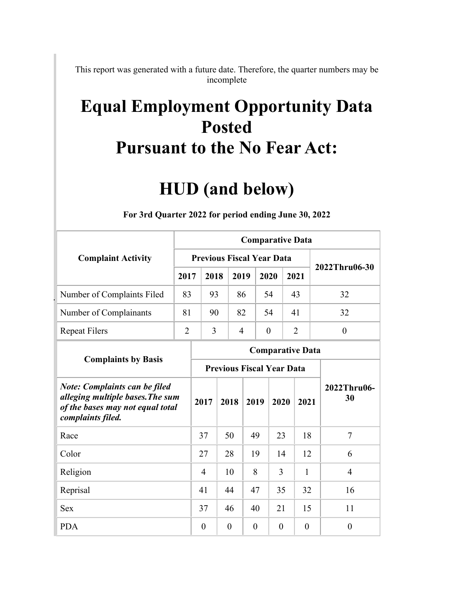This report was generated with a future date. Therefore, the quarter numbers may be incomplete

## **Equal Employment Opportunity Data Posted Pursuant to the No Fear Act:**

## **HUD (and below)**

|                                                                                                                                   |                | <b>Comparative Data</b>          |          |                |          |                         |                |                   |  |  |  |  |  |
|-----------------------------------------------------------------------------------------------------------------------------------|----------------|----------------------------------|----------|----------------|----------|-------------------------|----------------|-------------------|--|--|--|--|--|
| <b>Complaint Activity</b>                                                                                                         |                | <b>Previous Fiscal Year Data</b> |          |                |          |                         |                | 2022Thru06-30     |  |  |  |  |  |
|                                                                                                                                   | 2017           | 2018                             |          | 2019           | 2020     |                         | 2021           |                   |  |  |  |  |  |
| Number of Complaints Filed                                                                                                        | 83             | 93                               |          | 86             | 54       |                         | 43             | 32                |  |  |  |  |  |
| Number of Complainants                                                                                                            | 81             | 90                               |          | 82             | 54       |                         | 41             | 32                |  |  |  |  |  |
| <b>Repeat Filers</b>                                                                                                              | $\overline{2}$ | $\overline{3}$                   |          | $\overline{4}$ | $\theta$ |                         | $\overline{2}$ | $\theta$          |  |  |  |  |  |
| <b>Complaints by Basis</b>                                                                                                        |                |                                  |          |                |          | <b>Comparative Data</b> |                |                   |  |  |  |  |  |
|                                                                                                                                   |                | <b>Previous Fiscal Year Data</b> |          |                |          |                         |                |                   |  |  |  |  |  |
| <b>Note: Complaints can be filed</b><br>alleging multiple bases. The sum<br>of the bases may not equal total<br>complaints filed. |                | 2017                             | 2018     |                | 2019     | 2020                    | 2021           | 2022Thru06-<br>30 |  |  |  |  |  |
| Race                                                                                                                              |                | 37                               | 50       |                | 49       | 23                      | 18             | $\tau$            |  |  |  |  |  |
| Color                                                                                                                             |                | 27                               | 28       |                | 19       | 14                      | 12             | 6                 |  |  |  |  |  |
| Religion                                                                                                                          |                | 4                                | 10       |                | 8        | 3                       | 1              | $\overline{4}$    |  |  |  |  |  |
| Reprisal                                                                                                                          |                | 41                               | 44       |                | 47       | 35                      | 32             | 16                |  |  |  |  |  |
| <b>Sex</b>                                                                                                                        |                | 37                               | 46       |                | 40       | 21                      | 15             | 11                |  |  |  |  |  |
| <b>PDA</b>                                                                                                                        |                | $\theta$                         | $\theta$ |                | $\theta$ | $\theta$                | $\theta$       | $\overline{0}$    |  |  |  |  |  |

## **For 3rd Quarter 2022 for period ending June 30, 2022**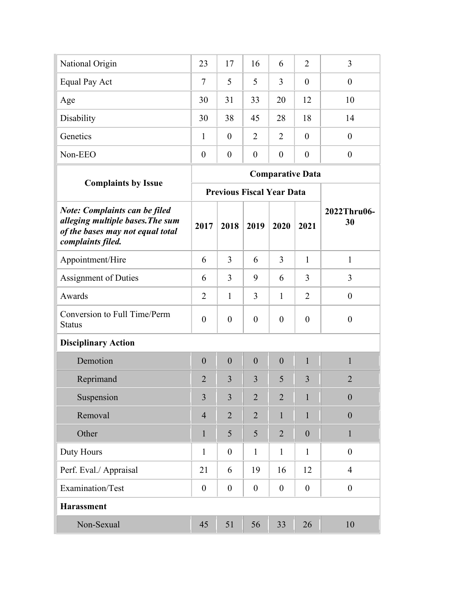| National Origin | 23             | 17             | 16             | 6              | $\overline{2}$   | 3                |
|-----------------|----------------|----------------|----------------|----------------|------------------|------------------|
| Equal Pay Act   | 7              | 5              | 5              | 3              | $\boldsymbol{0}$ | $\boldsymbol{0}$ |
| Age             | 30             | 31             | 33             | 20             | 12               | 10               |
| Disability      | 30             | 38             | 45             | 28             | 18               | 14               |
| Genetics        |                | $\overline{0}$ | $\overline{2}$ | $\overline{2}$ | $\theta$         | $\boldsymbol{0}$ |
| Non-EEO         | $\overline{0}$ | $\theta$       | $\theta$       | $\theta$       | $\theta$         | $\overline{0}$   |
|                 |                |                |                |                |                  |                  |

| <b>Complaints by Issue</b>                                                                                                        |                  |                  |                  | <b>Comparative Data</b>          |                  |                   |
|-----------------------------------------------------------------------------------------------------------------------------------|------------------|------------------|------------------|----------------------------------|------------------|-------------------|
|                                                                                                                                   |                  |                  |                  | <b>Previous Fiscal Year Data</b> |                  |                   |
| <b>Note: Complaints can be filed</b><br>alleging multiple bases. The sum<br>of the bases may not equal total<br>complaints filed. | 2017             | 2018             | 2019             | 2020                             | 2021             | 2022Thru06-<br>30 |
| Appointment/Hire                                                                                                                  | 6                | 3                | 6                | 3                                | $\mathbf{1}$     | $\mathbf{1}$      |
| <b>Assignment of Duties</b>                                                                                                       | 6                | 3                | 9                | 6                                | 3                | 3                 |
| Awards                                                                                                                            | $\overline{2}$   | $\mathbf{1}$     | 3                | $\mathbf{1}$                     | $\overline{2}$   | $\boldsymbol{0}$  |
| Conversion to Full Time/Perm<br><b>Status</b>                                                                                     | $\overline{0}$   | $\overline{0}$   | $\overline{0}$   | $\overline{0}$                   | $\mathbf{0}$     | $\boldsymbol{0}$  |
| <b>Disciplinary Action</b>                                                                                                        |                  |                  |                  |                                  |                  |                   |
| Demotion                                                                                                                          | $\theta$         | $\theta$         | $\theta$         | $\theta$                         | $\mathbf{1}$     | 1                 |
| Reprimand                                                                                                                         | $\overline{2}$   | $\overline{3}$   | $\overline{3}$   | 5                                | 3                | $\overline{2}$    |
| Suspension                                                                                                                        | $\overline{3}$   | $\overline{3}$   | $\overline{2}$   | $\overline{2}$                   | $\mathbf{1}$     | $\overline{0}$    |
| Removal                                                                                                                           | $\overline{4}$   | $\overline{2}$   | $\overline{2}$   | 1                                | 1                | $\theta$          |
| Other                                                                                                                             | $\mathbf{1}$     | 5                | 5                | $\overline{2}$                   | $\overline{0}$   | $\mathbf{1}$      |
| Duty Hours                                                                                                                        | $\mathbf{1}$     | $\theta$         | 1                | 1                                | 1                | $\theta$          |
| Perf. Eval./ Appraisal                                                                                                            | 21               | 6                | 19               | 16                               | 12               | $\overline{4}$    |
| Examination/Test                                                                                                                  | $\boldsymbol{0}$ | $\boldsymbol{0}$ | $\boldsymbol{0}$ | $\boldsymbol{0}$                 | $\boldsymbol{0}$ | $\boldsymbol{0}$  |
| <b>Harassment</b>                                                                                                                 |                  |                  |                  |                                  |                  |                   |
| Non-Sexual                                                                                                                        | 45               | 51               | 56               | 33                               | 26               | 10                |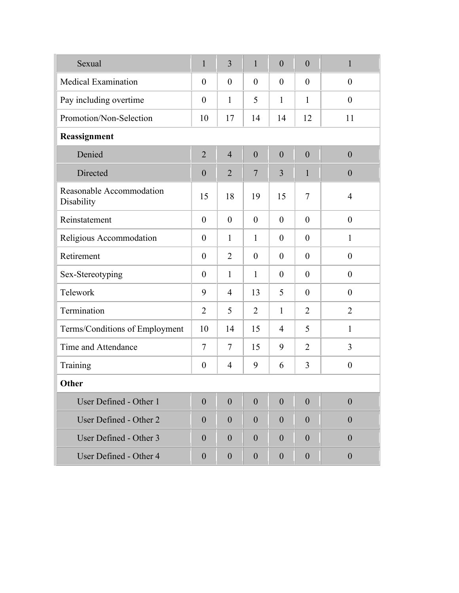| Sexual                                 | $\mathbf{1}$     | $\overline{3}$ | $\mathbf{1}$   | $\overline{0}$ | $\overline{0}$ | $\mathbf{1}$     |
|----------------------------------------|------------------|----------------|----------------|----------------|----------------|------------------|
| <b>Medical Examination</b>             | $\theta$         | $\theta$       | $\overline{0}$ | $\theta$       | $\theta$       | $\overline{0}$   |
| Pay including overtime                 | $\theta$         | 1              | 5              | $\mathbf{1}$   | $\mathbf{1}$   | $\overline{0}$   |
| Promotion/Non-Selection                | 10               | 17             | 14             | 14             | 12             | 11               |
| Reassignment                           |                  |                |                |                |                |                  |
| Denied                                 | $\overline{2}$   | $\overline{4}$ | $\overline{0}$ | $\overline{0}$ | $\overline{0}$ | $\overline{0}$   |
| Directed                               | $\overline{0}$   | $\overline{2}$ | $\overline{7}$ | $\overline{3}$ | $\mathbf{1}$   | $\boldsymbol{0}$ |
| Reasonable Accommodation<br>Disability | 15               | 18             | 19             | 15             | $\tau$         | $\overline{4}$   |
| Reinstatement                          | $\overline{0}$   | $\overline{0}$ | $\theta$       | $\theta$       | $\theta$       | $\overline{0}$   |
| Religious Accommodation                | $\theta$         | $\mathbf{1}$   | $\mathbf{1}$   | $\theta$       | $\theta$       | $\mathbf{1}$     |
| Retirement                             | $\theta$         | $\overline{2}$ | $\overline{0}$ | $\theta$       | $\theta$       | $\theta$         |
| Sex-Stereotyping                       | $\theta$         | $\mathbf{1}$   | $\mathbf{1}$   | $\theta$       | $\theta$       | $\theta$         |
| Telework                               | 9                | $\overline{4}$ | 13             | 5              | $\theta$       | $\overline{0}$   |
| Termination                            | $\overline{2}$   | 5              | $\overline{2}$ | $\mathbf{1}$   | $\overline{2}$ | $\overline{2}$   |
| Terms/Conditions of Employment         | 10               | 14             | 15             | $\overline{4}$ | 5              | $\mathbf{1}$     |
| Time and Attendance                    | 7                | 7              | 15             | 9              | $\overline{2}$ | 3                |
| Training                               | $\boldsymbol{0}$ | $\overline{4}$ | 9              | 6              | 3              | $\boldsymbol{0}$ |
| Other                                  |                  |                |                |                |                |                  |
| User Defined - Other 1                 | $\overline{0}$   | $\overline{0}$ | $\overline{0}$ | $\theta$       | $\overline{0}$ | $\boldsymbol{0}$ |
| User Defined - Other 2                 | $\overline{0}$   | $\theta$       | $\overline{0}$ | $\overline{0}$ | $\theta$       | $\theta$         |
| User Defined - Other 3                 | $\overline{0}$   | $\theta$       | $\overline{0}$ | $\theta$       | $\theta$       | $\theta$         |
| User Defined - Other 4                 | $\boldsymbol{0}$ | $\theta$       | $\overline{0}$ | $\theta$       | $\theta$       | $\boldsymbol{0}$ |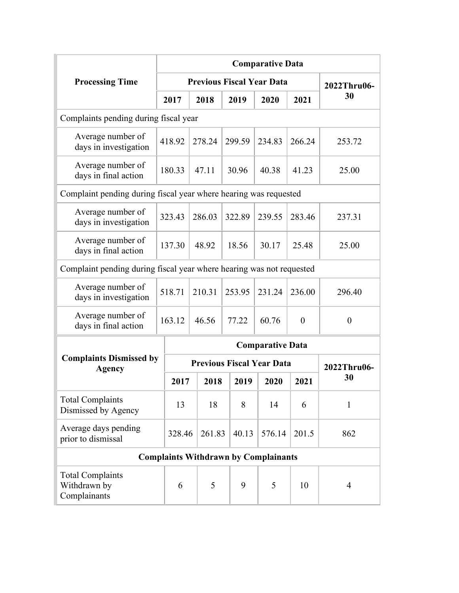|                                                                      | <b>Comparative Data</b><br><b>Previous Fiscal Year Data</b> |        |   |        |  |        |                                             |                |              |  |  |  |  |
|----------------------------------------------------------------------|-------------------------------------------------------------|--------|---|--------|--|--------|---------------------------------------------|----------------|--------------|--|--|--|--|
| <b>Processing Time</b>                                               |                                                             |        |   |        |  |        |                                             |                | 2022Thru06-  |  |  |  |  |
|                                                                      |                                                             | 2017   |   | 2018   |  | 2019   | 2020                                        | 2021           | 30           |  |  |  |  |
| Complaints pending during fiscal year                                |                                                             |        |   |        |  |        |                                             |                |              |  |  |  |  |
| Average number of<br>days in investigation                           |                                                             | 418.92 |   | 278.24 |  | 299.59 | 234.83                                      | 266.24         | 253.72       |  |  |  |  |
| Average number of<br>days in final action                            |                                                             | 180.33 |   | 47.11  |  | 30.96  | 40.38                                       | 41.23          | 25.00        |  |  |  |  |
| Complaint pending during fiscal year where hearing was requested     |                                                             |        |   |        |  |        |                                             |                |              |  |  |  |  |
| Average number of<br>days in investigation                           |                                                             | 323.43 |   | 286.03 |  | 322.89 | 239.55                                      | 283.46         | 237.31       |  |  |  |  |
| Average number of<br>days in final action                            |                                                             | 137.30 |   | 48.92  |  | 18.56  | 30.17                                       | 25.48          | 25.00        |  |  |  |  |
| Complaint pending during fiscal year where hearing was not requested |                                                             |        |   |        |  |        |                                             |                |              |  |  |  |  |
| Average number of<br>days in investigation                           |                                                             | 518.71 |   | 210.31 |  | 253.95 | 231.24                                      | 236.00         | 296.40       |  |  |  |  |
| Average number of<br>days in final action                            |                                                             | 163.12 |   | 46.56  |  | 77.22  | 60.76                                       | $\overline{0}$ | $\theta$     |  |  |  |  |
|                                                                      |                                                             |        |   |        |  |        | <b>Comparative Data</b>                     |                |              |  |  |  |  |
| <b>Complaints Dismissed by</b><br><b>Agency</b>                      |                                                             |        |   |        |  |        | <b>Previous Fiscal Year Data</b>            |                | 2022Thru06-  |  |  |  |  |
|                                                                      |                                                             | 2017   |   | 2018   |  | 2019   | 2020                                        | 2021           | 30           |  |  |  |  |
| <b>Total Complaints</b><br>Dismissed by Agency                       |                                                             | 13     |   | 18     |  | 8      | 14                                          | 6              | $\mathbf{1}$ |  |  |  |  |
| Average days pending<br>prior to dismissal                           |                                                             | 328.46 |   | 261.83 |  | 40.13  | 576.14                                      | 201.5          | 862          |  |  |  |  |
|                                                                      |                                                             |        |   |        |  |        | <b>Complaints Withdrawn by Complainants</b> |                |              |  |  |  |  |
| <b>Total Complaints</b><br>Withdrawn by<br>Complainants              |                                                             | 6      | 5 |        |  | 9      | 5                                           | 10             | 4            |  |  |  |  |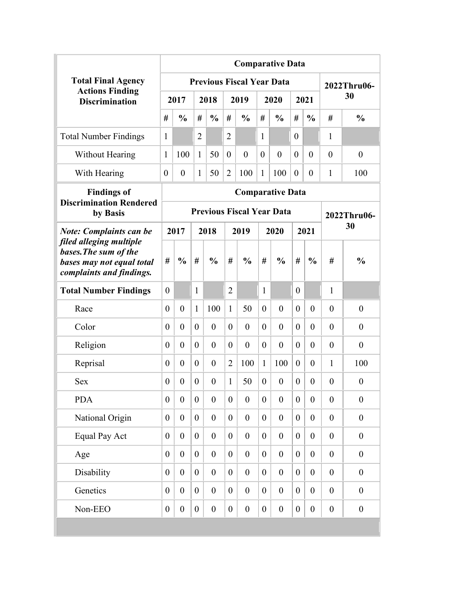|                                                                                                           | <b>Comparative Data</b> |                                                                                                       |                  |                  |                  |                                  |                  |                  |                  |                  |                  |                  |  |
|-----------------------------------------------------------------------------------------------------------|-------------------------|-------------------------------------------------------------------------------------------------------|------------------|------------------|------------------|----------------------------------|------------------|------------------|------------------|------------------|------------------|------------------|--|
| <b>Total Final Agency</b>                                                                                 |                         |                                                                                                       |                  |                  |                  | <b>Previous Fiscal Year Data</b> |                  |                  |                  |                  |                  | 2022Thru06-      |  |
| <b>Actions Finding</b><br><b>Discrimination</b>                                                           |                         | 2017                                                                                                  |                  | 2018             |                  | 2019                             |                  | 2020             |                  | 2021             |                  | 30               |  |
|                                                                                                           | #                       | $\frac{0}{0}$                                                                                         | #                | $\frac{0}{0}$    | #                | $\frac{0}{0}$                    | #                | $\frac{0}{0}$    | #                | $\frac{0}{0}$    | #                | $\frac{0}{0}$    |  |
| <b>Total Number Findings</b>                                                                              | $\mathbf{1}$            |                                                                                                       | $\overline{2}$   |                  | $\overline{2}$   |                                  | $\mathbf{1}$     |                  | $\theta$         |                  | 1                |                  |  |
| Without Hearing                                                                                           | $\mathbf{1}$            | 100                                                                                                   | 1                | 50               | $\theta$         | $\overline{0}$                   | $\overline{0}$   | $\theta$         | $\theta$         | $\theta$         | $\theta$         | $\overline{0}$   |  |
| With Hearing                                                                                              | $\theta$                | $\theta$                                                                                              | $\mathbf{1}$     | 50               | $\overline{2}$   | 100                              | $\mathbf{1}$     | 100              | $\theta$         | $\theta$         | 1                | 100              |  |
| <b>Findings of</b>                                                                                        |                         |                                                                                                       |                  |                  |                  | <b>Comparative Data</b>          |                  |                  |                  |                  |                  |                  |  |
| <b>Discrimination Rendered</b><br>by Basis                                                                |                         |                                                                                                       |                  |                  |                  | <b>Previous Fiscal Year Data</b> |                  |                  |                  |                  |                  | 2022Thru06-      |  |
| <b>Note: Complaints can be</b>                                                                            |                         | 2017<br>2018<br>2019<br>2020<br>2021                                                                  |                  |                  |                  |                                  |                  |                  |                  |                  |                  | 30               |  |
| filed alleging multiple<br>bases. The sum of the<br>bases may not equal total<br>complaints and findings. | #                       | $\frac{0}{0}$<br>#<br>$\frac{0}{0}$<br>#<br>$\frac{0}{0}$<br>#<br>#<br>$\frac{0}{0}$<br>$\frac{0}{0}$ |                  |                  |                  |                                  |                  |                  |                  | #                | $\frac{0}{0}$    |                  |  |
| <b>Total Number Findings</b>                                                                              | $\theta$                |                                                                                                       | $\mathbf{1}$     |                  | $\overline{2}$   |                                  | 1                |                  | $\theta$         |                  | $\mathbf{1}$     |                  |  |
| Race                                                                                                      | $\theta$                | $\theta$                                                                                              | 1                | 100              | $\mathbf{1}$     | 50                               | $\theta$         | $\theta$         | $\theta$         | $\theta$         | $\theta$         | $\theta$         |  |
| Color                                                                                                     | $\theta$                | $\overline{0}$                                                                                        | $\theta$         | $\overline{0}$   | $\overline{0}$   | $\theta$                         | $\overline{0}$   | $\theta$         | $\overline{0}$   | $\theta$         | $\theta$         | $\overline{0}$   |  |
| Religion                                                                                                  | $\boldsymbol{0}$        | $\overline{0}$                                                                                        | $\theta$         | $\theta$         | $\theta$         | $\theta$                         | $\theta$         | $\overline{0}$   | $\overline{0}$   | $\theta$         | $\theta$         | $\theta$         |  |
| Reprisal                                                                                                  | $\boldsymbol{0}$        | $\theta$                                                                                              | $\theta$         | $\theta$         | $\overline{2}$   | 100                              | $\mathbf{1}$     | 100              | $\overline{0}$   | $\theta$         | $\mathbf{1}$     | 100              |  |
| <b>Sex</b>                                                                                                | $\boldsymbol{0}$        | $\boldsymbol{0}$                                                                                      | $\boldsymbol{0}$ | $\boldsymbol{0}$ | $\mathbf{1}$     | 50                               | $\boldsymbol{0}$ | $\boldsymbol{0}$ | $\boldsymbol{0}$ | $\boldsymbol{0}$ | $\boldsymbol{0}$ | $\boldsymbol{0}$ |  |
| <b>PDA</b>                                                                                                | $\boldsymbol{0}$        | $\theta$                                                                                              | $\overline{0}$   | $\theta$         | $\overline{0}$   | $\theta$                         | $\boldsymbol{0}$ | $\boldsymbol{0}$ | $\boldsymbol{0}$ | $\theta$         | $\overline{0}$   | $\overline{0}$   |  |
| National Origin                                                                                           | $\boldsymbol{0}$        | $\overline{0}$                                                                                        | $\overline{0}$   | $\boldsymbol{0}$ | $\overline{0}$   | $\boldsymbol{0}$                 | $\boldsymbol{0}$ | $\boldsymbol{0}$ | $\overline{0}$   | $\theta$         | $\boldsymbol{0}$ | $\boldsymbol{0}$ |  |
| <b>Equal Pay Act</b>                                                                                      | $\boldsymbol{0}$        | $\boldsymbol{0}$                                                                                      | $\overline{0}$   | $\boldsymbol{0}$ | $\boldsymbol{0}$ | $\boldsymbol{0}$                 | $\boldsymbol{0}$ | $\boldsymbol{0}$ | $\boldsymbol{0}$ | $\boldsymbol{0}$ | $\boldsymbol{0}$ | $\boldsymbol{0}$ |  |
| Age                                                                                                       | $\boldsymbol{0}$        | $\overline{0}$                                                                                        | $\overline{0}$   | $\boldsymbol{0}$ | $\boldsymbol{0}$ | $\boldsymbol{0}$                 | $\boldsymbol{0}$ | $\boldsymbol{0}$ | $\boldsymbol{0}$ | $\boldsymbol{0}$ | $\boldsymbol{0}$ | $\boldsymbol{0}$ |  |
| Disability                                                                                                | $\boldsymbol{0}$        | $\overline{0}$                                                                                        | $\overline{0}$   | $\boldsymbol{0}$ | $\boldsymbol{0}$ | $\boldsymbol{0}$                 | $\boldsymbol{0}$ | $\boldsymbol{0}$ | $\boldsymbol{0}$ | $\boldsymbol{0}$ | $\boldsymbol{0}$ | $\boldsymbol{0}$ |  |
| Genetics                                                                                                  | $\boldsymbol{0}$        | $\overline{0}$                                                                                        | $\overline{0}$   | $\boldsymbol{0}$ | $\boldsymbol{0}$ | $\boldsymbol{0}$                 | $\boldsymbol{0}$ | $\boldsymbol{0}$ | $\boldsymbol{0}$ | $\boldsymbol{0}$ | $\boldsymbol{0}$ | $\boldsymbol{0}$ |  |
| Non-EEO                                                                                                   | $\boldsymbol{0}$        | $\boldsymbol{0}$                                                                                      | $\boldsymbol{0}$ | $\boldsymbol{0}$ | $\boldsymbol{0}$ | $\boldsymbol{0}$                 | $\boldsymbol{0}$ | $\boldsymbol{0}$ | $\boldsymbol{0}$ | $\boldsymbol{0}$ | $\boldsymbol{0}$ | $\boldsymbol{0}$ |  |
|                                                                                                           |                         |                                                                                                       |                  |                  |                  |                                  |                  |                  |                  |                  |                  |                  |  |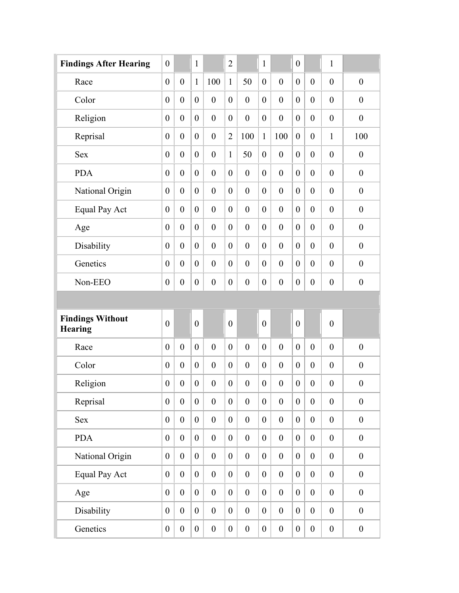| <b>Findings After Hearing</b>             | $\boldsymbol{0}$ |                  | $\mathbf{1}$     |                  | $\overline{2}$   |                  | 1                |                  | $\boldsymbol{0}$ |                  | $\mathbf{1}$     |                  |
|-------------------------------------------|------------------|------------------|------------------|------------------|------------------|------------------|------------------|------------------|------------------|------------------|------------------|------------------|
| Race                                      | $\boldsymbol{0}$ | $\boldsymbol{0}$ | $\mathbf{1}$     | 100              | $\mathbf{1}$     | 50               | $\boldsymbol{0}$ | $\boldsymbol{0}$ | $\boldsymbol{0}$ | $\boldsymbol{0}$ | $\boldsymbol{0}$ | $\boldsymbol{0}$ |
| Color                                     | $\boldsymbol{0}$ | $\boldsymbol{0}$ | $\boldsymbol{0}$ | $\boldsymbol{0}$ | $\boldsymbol{0}$ | $\boldsymbol{0}$ | $\boldsymbol{0}$ | $\boldsymbol{0}$ | $\boldsymbol{0}$ | $\boldsymbol{0}$ | $\boldsymbol{0}$ | $\boldsymbol{0}$ |
| Religion                                  | $\boldsymbol{0}$ | $\boldsymbol{0}$ | $\boldsymbol{0}$ | $\boldsymbol{0}$ | $\boldsymbol{0}$ | $\boldsymbol{0}$ | $\boldsymbol{0}$ | $\boldsymbol{0}$ | $\boldsymbol{0}$ | $\boldsymbol{0}$ | $\boldsymbol{0}$ | $\boldsymbol{0}$ |
| Reprisal                                  | $\boldsymbol{0}$ | $\theta$         | $\boldsymbol{0}$ | $\boldsymbol{0}$ | $\overline{2}$   | 100              | $\mathbf{1}$     | 100              | $\boldsymbol{0}$ | $\boldsymbol{0}$ | $\mathbf{1}$     | 100              |
| <b>Sex</b>                                | $\boldsymbol{0}$ | $\boldsymbol{0}$ | $\boldsymbol{0}$ | $\boldsymbol{0}$ | $\mathbf{1}$     | 50               | $\boldsymbol{0}$ | $\boldsymbol{0}$ | $\boldsymbol{0}$ | $\boldsymbol{0}$ | $\boldsymbol{0}$ | $\boldsymbol{0}$ |
| <b>PDA</b>                                | $\boldsymbol{0}$ | $\boldsymbol{0}$ | $\boldsymbol{0}$ | $\boldsymbol{0}$ | $\boldsymbol{0}$ | $\boldsymbol{0}$ | $\boldsymbol{0}$ | $\boldsymbol{0}$ | $\boldsymbol{0}$ | $\boldsymbol{0}$ | $\boldsymbol{0}$ | $\boldsymbol{0}$ |
| National Origin                           | $\boldsymbol{0}$ | $\boldsymbol{0}$ | $\boldsymbol{0}$ | $\boldsymbol{0}$ | $\boldsymbol{0}$ | $\boldsymbol{0}$ | $\boldsymbol{0}$ | $\boldsymbol{0}$ | $\boldsymbol{0}$ | $\boldsymbol{0}$ | $\boldsymbol{0}$ | $\boldsymbol{0}$ |
| <b>Equal Pay Act</b>                      | $\boldsymbol{0}$ | $\theta$         | $\boldsymbol{0}$ | $\boldsymbol{0}$ | $\boldsymbol{0}$ | $\boldsymbol{0}$ | $\boldsymbol{0}$ | $\boldsymbol{0}$ | $\boldsymbol{0}$ | $\boldsymbol{0}$ | $\boldsymbol{0}$ | $\boldsymbol{0}$ |
| Age                                       | $\boldsymbol{0}$ | $\overline{0}$   | $\boldsymbol{0}$ | $\boldsymbol{0}$ | $\boldsymbol{0}$ | $\boldsymbol{0}$ | $\boldsymbol{0}$ | $\boldsymbol{0}$ | $\boldsymbol{0}$ | $\boldsymbol{0}$ | $\boldsymbol{0}$ | $\boldsymbol{0}$ |
| Disability                                | $\boldsymbol{0}$ | $\theta$         | $\boldsymbol{0}$ | $\boldsymbol{0}$ | $\boldsymbol{0}$ | $\boldsymbol{0}$ | $\boldsymbol{0}$ | $\boldsymbol{0}$ | $\boldsymbol{0}$ | $\boldsymbol{0}$ | $\boldsymbol{0}$ | $\boldsymbol{0}$ |
| Genetics                                  | $\boldsymbol{0}$ | $\theta$         | $\boldsymbol{0}$ | $\boldsymbol{0}$ | $\boldsymbol{0}$ | $\boldsymbol{0}$ | $\boldsymbol{0}$ | $\boldsymbol{0}$ | $\boldsymbol{0}$ | $\theta$         | $\boldsymbol{0}$ | $\boldsymbol{0}$ |
| Non-EEO                                   | $\boldsymbol{0}$ | $\boldsymbol{0}$ | $\boldsymbol{0}$ | $\boldsymbol{0}$ | $\boldsymbol{0}$ | $\boldsymbol{0}$ | $\boldsymbol{0}$ | $\boldsymbol{0}$ | $\boldsymbol{0}$ | $\boldsymbol{0}$ | $\boldsymbol{0}$ | $\boldsymbol{0}$ |
|                                           |                  |                  |                  |                  |                  |                  |                  |                  |                  |                  |                  |                  |
| <b>Findings Without</b><br><b>Hearing</b> | $\mathbf{0}$     |                  | $\overline{0}$   |                  | $\overline{0}$   |                  | $\boldsymbol{0}$ |                  | $\boldsymbol{0}$ |                  | $\boldsymbol{0}$ |                  |
| Race                                      | $\boldsymbol{0}$ | $\boldsymbol{0}$ | $\boldsymbol{0}$ | $\boldsymbol{0}$ | $\boldsymbol{0}$ | $\boldsymbol{0}$ | $\boldsymbol{0}$ | $\boldsymbol{0}$ | $\boldsymbol{0}$ | $\boldsymbol{0}$ | $\boldsymbol{0}$ | $\boldsymbol{0}$ |
| Color                                     | $\boldsymbol{0}$ | $\boldsymbol{0}$ | $\boldsymbol{0}$ | $\boldsymbol{0}$ | $\boldsymbol{0}$ | $\boldsymbol{0}$ | $\boldsymbol{0}$ | $\boldsymbol{0}$ | $\boldsymbol{0}$ | $\boldsymbol{0}$ | $\boldsymbol{0}$ | $\boldsymbol{0}$ |
| Religion                                  | $\boldsymbol{0}$ | $\boldsymbol{0}$ | $\boldsymbol{0}$ | $\boldsymbol{0}$ | $\boldsymbol{0}$ | $\boldsymbol{0}$ | $\boldsymbol{0}$ | $\boldsymbol{0}$ | $\boldsymbol{0}$ | $\boldsymbol{0}$ | $\boldsymbol{0}$ | $\boldsymbol{0}$ |
| Reprisal                                  | $\boldsymbol{0}$ | $\overline{0}$   | $\overline{0}$   | $\overline{0}$   | $\overline{0}$   | $\boldsymbol{0}$ | $\boldsymbol{0}$ | $\boldsymbol{0}$ | $\boldsymbol{0}$ | $\boldsymbol{0}$ | $\boldsymbol{0}$ | $\boldsymbol{0}$ |
| <b>Sex</b>                                | $\boldsymbol{0}$ | $\boldsymbol{0}$ | $\boldsymbol{0}$ | $\boldsymbol{0}$ | $\boldsymbol{0}$ | $\boldsymbol{0}$ | $\boldsymbol{0}$ | $\boldsymbol{0}$ | $\boldsymbol{0}$ | $\boldsymbol{0}$ | $\boldsymbol{0}$ | $\boldsymbol{0}$ |
| <b>PDA</b>                                | $\boldsymbol{0}$ | $\boldsymbol{0}$ | $\boldsymbol{0}$ | $\boldsymbol{0}$ | $\boldsymbol{0}$ | $\boldsymbol{0}$ | $\boldsymbol{0}$ | $\boldsymbol{0}$ | $\boldsymbol{0}$ | $\boldsymbol{0}$ | $\boldsymbol{0}$ | $\boldsymbol{0}$ |
| National Origin                           | $\boldsymbol{0}$ | $\boldsymbol{0}$ | $\boldsymbol{0}$ | $\boldsymbol{0}$ | $\boldsymbol{0}$ | $\boldsymbol{0}$ | $\boldsymbol{0}$ | $\boldsymbol{0}$ | $\boldsymbol{0}$ | $\boldsymbol{0}$ | $\boldsymbol{0}$ | $\boldsymbol{0}$ |
| <b>Equal Pay Act</b>                      | $\boldsymbol{0}$ | $\boldsymbol{0}$ | $\boldsymbol{0}$ | $\boldsymbol{0}$ | $\boldsymbol{0}$ | $\boldsymbol{0}$ | $\boldsymbol{0}$ | $\boldsymbol{0}$ | $\boldsymbol{0}$ | $\boldsymbol{0}$ | $\boldsymbol{0}$ | $\boldsymbol{0}$ |
| Age                                       | $\boldsymbol{0}$ | $\boldsymbol{0}$ | $\boldsymbol{0}$ | $\boldsymbol{0}$ | $\boldsymbol{0}$ | $\boldsymbol{0}$ | $\boldsymbol{0}$ | $\boldsymbol{0}$ | $\boldsymbol{0}$ | $\boldsymbol{0}$ | $\boldsymbol{0}$ | $\boldsymbol{0}$ |
| Disability                                | $\boldsymbol{0}$ | $\boldsymbol{0}$ | $\boldsymbol{0}$ | $\boldsymbol{0}$ | $\boldsymbol{0}$ | $\boldsymbol{0}$ | $\boldsymbol{0}$ | $\boldsymbol{0}$ | $\boldsymbol{0}$ | $\boldsymbol{0}$ | $\boldsymbol{0}$ | $\boldsymbol{0}$ |
| Genetics                                  | $\boldsymbol{0}$ | $\boldsymbol{0}$ | $\overline{0}$   | $\boldsymbol{0}$ | $\boldsymbol{0}$ | $\boldsymbol{0}$ | $\boldsymbol{0}$ | $\boldsymbol{0}$ | $\boldsymbol{0}$ | $\boldsymbol{0}$ | $\boldsymbol{0}$ | $\boldsymbol{0}$ |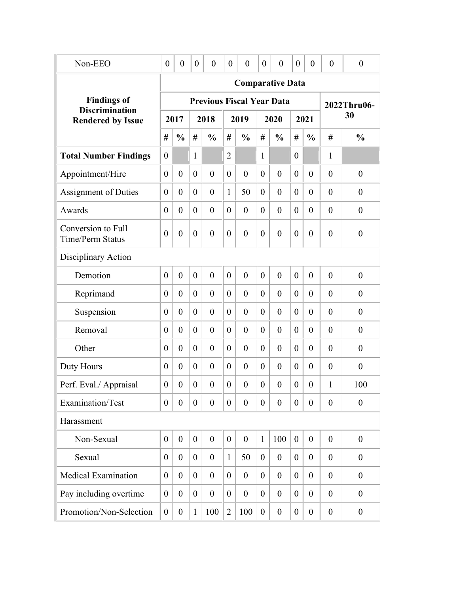| Non-EEO                                           | $\boldsymbol{0}$ | $\boldsymbol{0}$ | $\theta$         | $\theta$         | $\boldsymbol{0}$ | $\boldsymbol{0}$ | $\boldsymbol{0}$ | $\boldsymbol{0}$                 | $\boldsymbol{0}$ | $\overline{0}$   | $\theta$         | $\boldsymbol{0}$ |
|---------------------------------------------------|------------------|------------------|------------------|------------------|------------------|------------------|------------------|----------------------------------|------------------|------------------|------------------|------------------|
|                                                   |                  |                  |                  |                  |                  |                  |                  | <b>Comparative Data</b>          |                  |                  |                  |                  |
| <b>Findings of</b>                                |                  |                  |                  |                  |                  |                  |                  | <b>Previous Fiscal Year Data</b> |                  |                  |                  | 2022Thru06-      |
| <b>Discrimination</b><br><b>Rendered by Issue</b> |                  | 2017             |                  | 2018             |                  | 2019             |                  | 2020                             |                  | 2021             |                  | 30               |
|                                                   | #                | $\frac{0}{0}$    | #                | $\frac{0}{0}$    | #                | $\frac{0}{0}$    | #                | $\frac{0}{0}$                    | #                | $\frac{0}{0}$    | #                | $\frac{0}{0}$    |
| <b>Total Number Findings</b>                      | $\theta$         |                  | 1                |                  | $\overline{2}$   |                  | $\mathbf{1}$     |                                  | $\theta$         |                  | 1                |                  |
| Appointment/Hire                                  | $\theta$         | $\overline{0}$   | $\theta$         | $\theta$         | $\overline{0}$   | $\overline{0}$   | $\overline{0}$   | $\theta$                         | $\theta$         | $\theta$         | $\theta$         | $\boldsymbol{0}$ |
| <b>Assignment of Duties</b>                       | $\theta$         | $\overline{0}$   | $\theta$         | $\overline{0}$   | $\mathbf{1}$     | 50               | $\overline{0}$   | $\theta$                         | $\theta$         | $\theta$         | $\mathbf{0}$     | $\boldsymbol{0}$ |
| Awards                                            | $\theta$         | $\overline{0}$   | $\theta$         | $\overline{0}$   | $\overline{0}$   | $\overline{0}$   | $\theta$         | $\theta$                         | $\theta$         | $\theta$         | $\theta$         | $\boldsymbol{0}$ |
| Conversion to Full<br>Time/Perm Status            | $\theta$         | $\overline{0}$   | $\boldsymbol{0}$ | $\boldsymbol{0}$ | $\boldsymbol{0}$ | $\overline{0}$   | $\theta$         | $\overline{0}$                   | $\overline{0}$   | $\theta$         | $\theta$         | $\boldsymbol{0}$ |
| Disciplinary Action                               |                  |                  |                  |                  |                  |                  |                  |                                  |                  |                  |                  |                  |
| Demotion                                          | $\theta$         | $\overline{0}$   | $\theta$         | $\overline{0}$   | $\theta$         | $\overline{0}$   | $\overline{0}$   | $\mathbf{0}$                     | $\theta$         | $\mathbf{0}$     | $\theta$         | $\boldsymbol{0}$ |
| Reprimand                                         | $\overline{0}$   | $\overline{0}$   | $\theta$         | $\overline{0}$   | $\theta$         | $\overline{0}$   | $\theta$         | $\theta$                         | $\theta$         | $\mathbf{0}$     | $\theta$         | $\boldsymbol{0}$ |
| Suspension                                        | $\boldsymbol{0}$ | $\overline{0}$   | $\boldsymbol{0}$ | $\mathbf{0}$     | $\theta$         | $\mathbf{0}$     | $\theta$         | $\theta$                         | $\theta$         | $\overline{0}$   | $\theta$         | $\boldsymbol{0}$ |
| Removal                                           | $\theta$         | $\overline{0}$   | $\boldsymbol{0}$ | $\mathbf{0}$     | $\theta$         | $\mathbf{0}$     | $\theta$         | $\mathbf{0}$                     | $\theta$         | $\mathbf{0}$     | $\theta$         | $\boldsymbol{0}$ |
| Other                                             | $\theta$         | $\overline{0}$   | $\boldsymbol{0}$ | $\mathbf{0}$     | $\theta$         | $\mathbf{0}$     | $\theta$         | $\mathbf{0}$                     | $\theta$         | $\overline{0}$   | $\theta$         | $\boldsymbol{0}$ |
| Duty Hours                                        | $\theta$         | $\overline{0}$   | $\boldsymbol{0}$ | $\mathbf{0}$     | $\theta$         | $\mathbf{0}$     | $\theta$         | $\mathbf{0}$                     | $\theta$         | $\overline{0}$   | $\theta$         | $\boldsymbol{0}$ |
| Perf. Eval./ Appraisal                            | $\theta$         | $\overline{0}$   | $\boldsymbol{0}$ | $\overline{0}$   | $\boldsymbol{0}$ | $\boldsymbol{0}$ | $\boldsymbol{0}$ | $\overline{0}$                   | $\overline{0}$   | $\boldsymbol{0}$ | $\mathbf{1}$     | 100              |
| Examination/Test                                  | $\overline{0}$   | $\overline{0}$   | $\boldsymbol{0}$ | $\overline{0}$   | $\boldsymbol{0}$ | $\boldsymbol{0}$ | $\overline{0}$   | $\mathbf{0}$                     | $\overline{0}$   | $\overline{0}$   | $\overline{0}$   | $\mathbf{0}$     |
| Harassment                                        |                  |                  |                  |                  |                  |                  |                  |                                  |                  |                  |                  |                  |
| Non-Sexual                                        | $\theta$         | $\boldsymbol{0}$ | $\boldsymbol{0}$ | $\mathbf{0}$     | $\boldsymbol{0}$ | $\boldsymbol{0}$ | $\mathbf{1}$     | 100                              | $\overline{0}$   | $\boldsymbol{0}$ | $\overline{0}$   | $\boldsymbol{0}$ |
| Sexual                                            | $\boldsymbol{0}$ | $\boldsymbol{0}$ | $\boldsymbol{0}$ | $\boldsymbol{0}$ | $\mathbf{1}$     | 50               | $\boldsymbol{0}$ | $\boldsymbol{0}$                 | $\boldsymbol{0}$ | $\overline{0}$   | $\overline{0}$   | $\boldsymbol{0}$ |
| <b>Medical Examination</b>                        | $\boldsymbol{0}$ | $\boldsymbol{0}$ | $\boldsymbol{0}$ | $\boldsymbol{0}$ | $\boldsymbol{0}$ | $\boldsymbol{0}$ | $\boldsymbol{0}$ | $\boldsymbol{0}$                 | $\overline{0}$   | $\overline{0}$   | $\boldsymbol{0}$ | $\boldsymbol{0}$ |
| Pay including overtime                            | $\boldsymbol{0}$ | $\overline{0}$   | $\boldsymbol{0}$ | $\boldsymbol{0}$ | $\boldsymbol{0}$ | $\boldsymbol{0}$ | $\boldsymbol{0}$ | $\boldsymbol{0}$                 | $\overline{0}$   | $\overline{0}$   | $\theta$         | $\boldsymbol{0}$ |
| Promotion/Non-Selection                           | $\boldsymbol{0}$ | $\boldsymbol{0}$ | $\mathbf{1}$     | 100              | $\overline{2}$   | 100              | $\boldsymbol{0}$ | $\boldsymbol{0}$                 | $\boldsymbol{0}$ | $\mathbf{0}$     | $\boldsymbol{0}$ | $\boldsymbol{0}$ |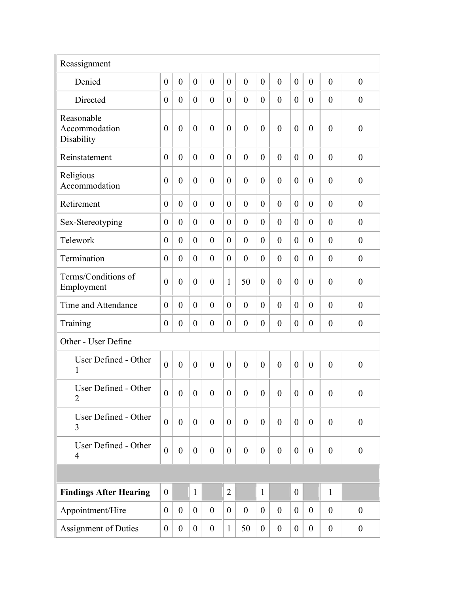| Reassignment                              |                  |                  |                  |                  |                  |                  |                  |                  |                  |                  |                  |                  |
|-------------------------------------------|------------------|------------------|------------------|------------------|------------------|------------------|------------------|------------------|------------------|------------------|------------------|------------------|
| Denied                                    | $\overline{0}$   | $\overline{0}$   | $\boldsymbol{0}$ | $\overline{0}$   | $\overline{0}$   | $\mathbf{0}$     | $\overline{0}$   | $\overline{0}$   | $\overline{0}$   | $\overline{0}$   | $\overline{0}$   | $\boldsymbol{0}$ |
| Directed                                  | $\theta$         | $\theta$         | $\boldsymbol{0}$ | $\boldsymbol{0}$ | $\boldsymbol{0}$ | $\mathbf{0}$     | $\theta$         | $\overline{0}$   | $\overline{0}$   | $\overline{0}$   | $\overline{0}$   | $\boldsymbol{0}$ |
| Reasonable<br>Accommodation<br>Disability | $\theta$         | $\theta$         | $\boldsymbol{0}$ | $\overline{0}$   | $\boldsymbol{0}$ | $\mathbf{0}$     | $\theta$         | $\overline{0}$   | $\theta$         | $\overline{0}$   | $\overline{0}$   | $\boldsymbol{0}$ |
| Reinstatement                             | $\overline{0}$   | $\theta$         | $\boldsymbol{0}$ | $\overline{0}$   | $\overline{0}$   | $\mathbf{0}$     | $\theta$         | $\theta$         | $\theta$         | $\overline{0}$   | $\theta$         | $\overline{0}$   |
| Religious<br>Accommodation                | $\overline{0}$   | $\theta$         | $\boldsymbol{0}$ | $\boldsymbol{0}$ | $\overline{0}$   | $\theta$         | $\theta$         | $\overline{0}$   | $\overline{0}$   | $\overline{0}$   | $\overline{0}$   | $\boldsymbol{0}$ |
| Retirement                                | $\theta$         | $\overline{0}$   | $\theta$         | $\overline{0}$   | $\overline{0}$   | $\overline{0}$   | $\theta$         | $\overline{0}$   | $\theta$         | $\overline{0}$   | $\overline{0}$   | $\boldsymbol{0}$ |
| Sex-Stereotyping                          | $\theta$         | $\overline{0}$   | $\boldsymbol{0}$ | $\overline{0}$   | $\overline{0}$   | $\overline{0}$   | $\theta$         | $\theta$         | $\theta$         | $\overline{0}$   | $\overline{0}$   | $\boldsymbol{0}$ |
| Telework                                  | $\overline{0}$   | $\overline{0}$   | $\boldsymbol{0}$ | $\overline{0}$   | $\boldsymbol{0}$ | $\overline{0}$   | $\theta$         | $\theta$         | $\theta$         | $\overline{0}$   | $\overline{0}$   | $\boldsymbol{0}$ |
| Termination                               | $\overline{0}$   | $\overline{0}$   | $\boldsymbol{0}$ | $\boldsymbol{0}$ | $\boldsymbol{0}$ | $\overline{0}$   | $\theta$         | $\overline{0}$   | $\theta$         | $\boldsymbol{0}$ | $\overline{0}$   | $\boldsymbol{0}$ |
| Terms/Conditions of<br>Employment         | $\theta$         | $\overline{0}$   | $\boldsymbol{0}$ | $\overline{0}$   | $\mathbf{1}$     | 50               | $\overline{0}$   | $\theta$         | $\overline{0}$   | $\overline{0}$   | $\overline{0}$   | $\boldsymbol{0}$ |
| Time and Attendance                       | $\overline{0}$   | $\theta$         | $\boldsymbol{0}$ | $\overline{0}$   | $\mathbf{0}$     | $\theta$         | $\theta$         | $\mathbf{0}$     | $\theta$         | $\overline{0}$   | $\overline{0}$   | $\boldsymbol{0}$ |
| Training                                  | $\overline{0}$   | $\boldsymbol{0}$ | $\boldsymbol{0}$ | $\boldsymbol{0}$ | $\boldsymbol{0}$ | $\boldsymbol{0}$ | $\theta$         | $\boldsymbol{0}$ | $\boldsymbol{0}$ | $\boldsymbol{0}$ | $\overline{0}$   | $\boldsymbol{0}$ |
| Other - User Define                       |                  |                  |                  |                  |                  |                  |                  |                  |                  |                  |                  |                  |
| User Defined - Other<br>1                 | $\theta$         | $\theta$         | $\boldsymbol{0}$ | $\overline{0}$   | $\overline{0}$   | $\mathbf{0}$     | $\overline{0}$   | $\overline{0}$   | $\theta$         | $\overline{0}$   | $\overline{0}$   | $\boldsymbol{0}$ |
| User Defined - Other<br>$\overline{2}$    | $\boldsymbol{0}$ | $\boldsymbol{0}$ | $\boldsymbol{0}$ | $\boldsymbol{0}$ | $\boldsymbol{0}$ | $\boldsymbol{0}$ | $\boldsymbol{0}$ | $\boldsymbol{0}$ | $\boldsymbol{0}$ | $\boldsymbol{0}$ | $\boldsymbol{0}$ | $\boldsymbol{0}$ |
| User Defined - Other<br>3                 | $\overline{0}$   | $\overline{0}$   | $\boldsymbol{0}$ | $\overline{0}$   | $\boldsymbol{0}$ | $\theta$         | $\overline{0}$   | $\overline{0}$   | $\overline{0}$   | $\overline{0}$   | $\overline{0}$   | $\boldsymbol{0}$ |
| User Defined - Other<br>$\overline{4}$    | $\overline{0}$   | $\boldsymbol{0}$ | $\boldsymbol{0}$ | $\boldsymbol{0}$ | $\boldsymbol{0}$ | $\boldsymbol{0}$ | $\boldsymbol{0}$ | $\boldsymbol{0}$ | $\overline{0}$   | $\boldsymbol{0}$ | $\boldsymbol{0}$ | $\boldsymbol{0}$ |
|                                           |                  |                  |                  |                  |                  |                  |                  |                  |                  |                  |                  |                  |
| <b>Findings After Hearing</b>             | $\overline{0}$   |                  | $\mathbf{1}$     |                  | $\overline{2}$   |                  | $\mathbf{1}$     |                  | $\overline{0}$   |                  | $\mathbf{1}$     |                  |
| Appointment/Hire                          | $\overline{0}$   | $\overline{0}$   | $\boldsymbol{0}$ | $\boldsymbol{0}$ | $\boldsymbol{0}$ | $\boldsymbol{0}$ | $\overline{0}$   | $\boldsymbol{0}$ | $\overline{0}$   | $\overline{0}$   | $\boldsymbol{0}$ | $\boldsymbol{0}$ |
| Assignment of Duties                      | $\overline{0}$   | $\overline{0}$   | $\boldsymbol{0}$ | $\boldsymbol{0}$ | $\mathbf{1}$     | 50               | $\boldsymbol{0}$ | $\boldsymbol{0}$ | $\mathbf{0}$     | $\boldsymbol{0}$ | $\boldsymbol{0}$ | $\boldsymbol{0}$ |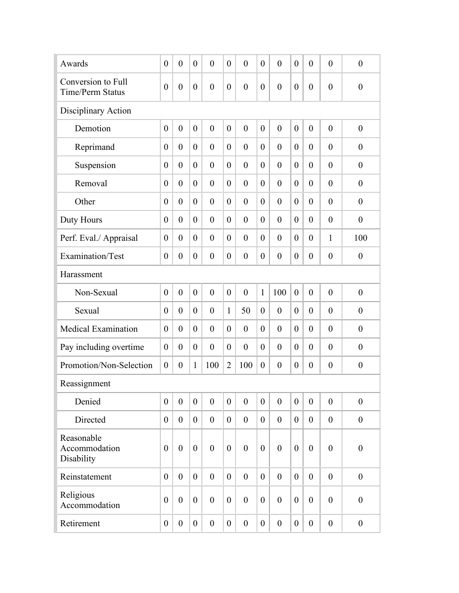| Awards                                        | $\theta$         | $\overline{0}$   | $\boldsymbol{0}$ | $\mathbf{0}$     | $\boldsymbol{0}$ | $\overline{0}$   | $\theta$         | $\overline{0}$   | $\overline{0}$   | $\overline{0}$   | $\theta$         | $\boldsymbol{0}$ |
|-----------------------------------------------|------------------|------------------|------------------|------------------|------------------|------------------|------------------|------------------|------------------|------------------|------------------|------------------|
| Conversion to Full<br><b>Time/Perm Status</b> | $\theta$         | $\overline{0}$   | $\boldsymbol{0}$ | $\boldsymbol{0}$ | $\boldsymbol{0}$ | $\overline{0}$   | $\boldsymbol{0}$ | $\overline{0}$   | $\overline{0}$   | $\overline{0}$   | $\overline{0}$   | $\boldsymbol{0}$ |
| Disciplinary Action                           |                  |                  |                  |                  |                  |                  |                  |                  |                  |                  |                  |                  |
| Demotion                                      | $\theta$         | $\overline{0}$   | $\boldsymbol{0}$ | $\overline{0}$   | $\overline{0}$   | $\mathbf{0}$     | $\mathbf{0}$     | $\overline{0}$   | $\overline{0}$   | $\overline{0}$   | $\overline{0}$   | $\boldsymbol{0}$ |
| Reprimand                                     | $\theta$         | $\theta$         | $\boldsymbol{0}$ | $\mathbf{0}$     | $\overline{0}$   | $\mathbf{0}$     | $\theta$         | $\theta$         | $\overline{0}$   | $\theta$         | $\theta$         | $\overline{0}$   |
| Suspension                                    | $\theta$         | $\overline{0}$   | $\boldsymbol{0}$ | $\overline{0}$   | $\boldsymbol{0}$ | $\mathbf{0}$     | $\overline{0}$   | $\overline{0}$   | $\overline{0}$   | $\overline{0}$   | $\theta$         | $\boldsymbol{0}$ |
| Removal                                       | $\theta$         | $\overline{0}$   | $\boldsymbol{0}$ | $\overline{0}$   | $\overline{0}$   | $\mathbf{0}$     | $\overline{0}$   | $\overline{0}$   | $\overline{0}$   | $\overline{0}$   | $\theta$         | $\boldsymbol{0}$ |
| Other                                         | $\theta$         | $\overline{0}$   | $\theta$         | $\mathbf{0}$     | $\overline{0}$   | $\mathbf{0}$     | $\overline{0}$   | $\overline{0}$   | $\overline{0}$   | $\overline{0}$   | $\theta$         | $\boldsymbol{0}$ |
| Duty Hours                                    | $\theta$         | $\overline{0}$   | $\boldsymbol{0}$ | $\mathbf{0}$     | $\overline{0}$   | $\mathbf{0}$     | $\overline{0}$   | $\overline{0}$   | $\overline{0}$   | $\overline{0}$   | $\theta$         | $\overline{0}$   |
| Perf. Eval./ Appraisal                        | $\theta$         | $\overline{0}$   | $\boldsymbol{0}$ | $\boldsymbol{0}$ | $\boldsymbol{0}$ | $\boldsymbol{0}$ | $\overline{0}$   | $\overline{0}$   | $\overline{0}$   | $\overline{0}$   | $\mathbf{1}$     | 100              |
| Examination/Test                              | $\theta$         | $\boldsymbol{0}$ | $\boldsymbol{0}$ | $\boldsymbol{0}$ | $\boldsymbol{0}$ | $\boldsymbol{0}$ | $\boldsymbol{0}$ | $\boldsymbol{0}$ | $\boldsymbol{0}$ | $\overline{0}$   | $\boldsymbol{0}$ | $\boldsymbol{0}$ |
| Harassment                                    |                  |                  |                  |                  |                  |                  |                  |                  |                  |                  |                  |                  |
| Non-Sexual                                    | $\theta$         | $\overline{0}$   | $\boldsymbol{0}$ | $\mathbf{0}$     | $\boldsymbol{0}$ | $\mathbf{0}$     | $\mathbf{1}$     | 100              | $\overline{0}$   | $\overline{0}$   | $\theta$         | $\boldsymbol{0}$ |
| Sexual                                        | $\theta$         | $\overline{0}$   | $\boldsymbol{0}$ | $\theta$         | $\mathbf{1}$     | 50               | $\overline{0}$   | $\overline{0}$   | $\overline{0}$   | $\overline{0}$   | $\theta$         | $\boldsymbol{0}$ |
| <b>Medical Examination</b>                    | $\theta$         | $\overline{0}$   | $\boldsymbol{0}$ | $\boldsymbol{0}$ | $\boldsymbol{0}$ | $\overline{0}$   | $\overline{0}$   | $\theta$         | $\theta$         | $\overline{0}$   | $\theta$         | $\boldsymbol{0}$ |
| Pay including overtime                        | $\overline{0}$   | $\theta$         | $\boldsymbol{0}$ | $\boldsymbol{0}$ | $\boldsymbol{0}$ | $\boldsymbol{0}$ | $\overline{0}$   | $\theta$         | $\theta$         | $\overline{0}$   | $\theta$         | $\boldsymbol{0}$ |
| Promotion/Non-Selection                       | $\boldsymbol{0}$ | $\boldsymbol{0}$ | $\mathbf{1}$     | 100              | $\overline{2}$   | 100              | $\boldsymbol{0}$ | $\boldsymbol{0}$ | $\boldsymbol{0}$ | $\boldsymbol{0}$ | $\boldsymbol{0}$ | $\boldsymbol{0}$ |
| Reassignment                                  |                  |                  |                  |                  |                  |                  |                  |                  |                  |                  |                  |                  |
| Denied                                        | $\theta$         | $\mathbf{0}$     | $\overline{0}$   | $\theta$         | $\overline{0}$   | $\boldsymbol{0}$ | $\boldsymbol{0}$ | $\boldsymbol{0}$ | $\theta$         | $\boldsymbol{0}$ | $\mathbf{0}$     | $\boldsymbol{0}$ |
| Directed                                      | $\theta$         | $\overline{0}$   | $\boldsymbol{0}$ | $\boldsymbol{0}$ | $\overline{0}$   | $\boldsymbol{0}$ | $\boldsymbol{0}$ | $\boldsymbol{0}$ | $\theta$         | $\boldsymbol{0}$ | $\overline{0}$   | $\boldsymbol{0}$ |
| Reasonable<br>Accommodation<br>Disability     | $\theta$         | $\theta$         | $\boldsymbol{0}$ | $\overline{0}$   | $\boldsymbol{0}$ | $\mathbf{0}$     | $\theta$         | $\mathbf{0}$     | $\theta$         | $\overline{0}$   | $\overline{0}$   | $\boldsymbol{0}$ |
| Reinstatement                                 | $\theta$         | $\mathbf{0}$     | $\theta$         | $\boldsymbol{0}$ | $\overline{0}$   | $\mathbf{0}$     | $\overline{0}$   | $\mathbf{0}$     | $\theta$         | $\overline{0}$   | $\theta$         | $\boldsymbol{0}$ |
| Religious<br>Accommodation                    | $\theta$         | $\overline{0}$   | $\boldsymbol{0}$ | $\boldsymbol{0}$ | $\boldsymbol{0}$ | $\boldsymbol{0}$ | $\boldsymbol{0}$ | $\boldsymbol{0}$ | $\theta$         | $\boldsymbol{0}$ | $\mathbf{0}$     | $\boldsymbol{0}$ |
| Retirement                                    | $\boldsymbol{0}$ | $\overline{0}$   | $\boldsymbol{0}$ | $\boldsymbol{0}$ | $\boldsymbol{0}$ | $\boldsymbol{0}$ | $\boldsymbol{0}$ | $\boldsymbol{0}$ | $\boldsymbol{0}$ | $\overline{0}$   | $\boldsymbol{0}$ | $\boldsymbol{0}$ |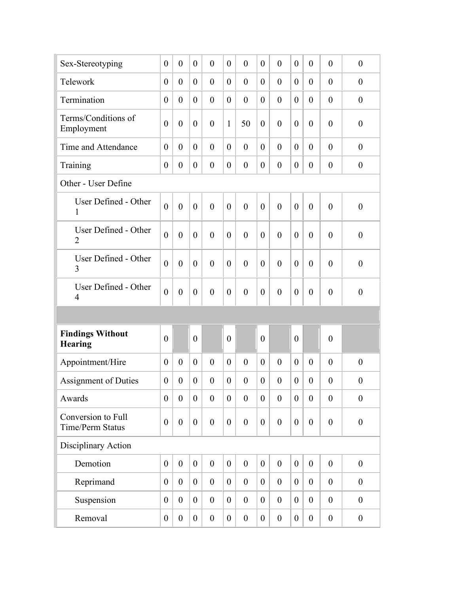| Sex-Stereotyping                              | $\theta$         | $\overline{0}$ | $\overline{0}$   | $\theta$         | $\theta$         | $\theta$         | $\theta$         | $\theta$         | $\theta$         | $\overline{0}$   | $\theta$         | $\boldsymbol{0}$ |
|-----------------------------------------------|------------------|----------------|------------------|------------------|------------------|------------------|------------------|------------------|------------------|------------------|------------------|------------------|
| Telework                                      | $\theta$         | $\theta$       | $\overline{0}$   | $\theta$         | $\theta$         | $\theta$         | $\theta$         | $\theta$         | $\theta$         | $\overline{0}$   | $\theta$         | $\boldsymbol{0}$ |
| Termination                                   | $\theta$         | $\theta$       | $\boldsymbol{0}$ | $\overline{0}$   | $\theta$         | $\theta$         | $\theta$         | $\theta$         | $\theta$         | $\theta$         | $\overline{0}$   | $\boldsymbol{0}$ |
| Terms/Conditions of<br>Employment             | $\overline{0}$   | $\overline{0}$ | $\boldsymbol{0}$ | $\overline{0}$   | $\mathbf{1}$     | 50               | $\theta$         | $\overline{0}$   | $\overline{0}$   | $\theta$         | $\overline{0}$   | $\boldsymbol{0}$ |
| Time and Attendance                           | $\theta$         | $\theta$       | $\theta$         | $\mathbf{0}$     | $\theta$         | $\mathbf{0}$     | $\theta$         | $\theta$         | $\overline{0}$   | $\theta$         | $\theta$         | $\theta$         |
| Training                                      | $\theta$         | $\overline{0}$ | $\boldsymbol{0}$ | $\mathbf{0}$     | $\theta$         | $\theta$         | $\theta$         | $\theta$         | $\theta$         | $\theta$         | $\theta$         | $\overline{0}$   |
| Other - User Define                           |                  |                |                  |                  |                  |                  |                  |                  |                  |                  |                  |                  |
| User Defined - Other<br>1                     | $\theta$         | $\overline{0}$ | $\overline{0}$   | $\overline{0}$   | $\mathbf{0}$     | $\mathbf{0}$     | $\mathbf{0}$     | $\theta$         | $\theta$         | $\theta$         | $\overline{0}$   | $\boldsymbol{0}$ |
| User Defined - Other<br>$\overline{2}$        | $\theta$         | $\overline{0}$ | $\mathbf{0}$     | $\mathbf{0}$     | $\theta$         | $\mathbf{0}$     | $\mathbf{0}$     | $\theta$         | $\overline{0}$   | $\theta$         | $\overline{0}$   | $\boldsymbol{0}$ |
| User Defined - Other<br>3                     | $\theta$         | $\theta$       | $\theta$         | $\mathbf{0}$     | $\theta$         | $\mathbf{0}$     | $\theta$         | $\mathbf{0}$     | $\overline{0}$   | $\theta$         | $\theta$         | $\overline{0}$   |
| User Defined - Other<br>$\overline{4}$        | $\overline{0}$   | $\theta$       | $\boldsymbol{0}$ | $\overline{0}$   | $\theta$         | $\theta$         | $\theta$         | $\overline{0}$   | $\overline{0}$   | $\theta$         | $\overline{0}$   | $\overline{0}$   |
|                                               |                  |                |                  |                  |                  |                  |                  |                  |                  |                  |                  |                  |
| <b>Findings Without</b><br><b>Hearing</b>     | $\theta$         |                | $\overline{0}$   |                  | $\theta$         |                  | $\theta$         |                  | $\overline{0}$   |                  | $\theta$         |                  |
| Appointment/Hire                              | $\theta$         | $\overline{0}$ | $\theta$         | $\mathbf{0}$     | $\theta$         | $\mathbf{0}$     | $\theta$         | $\theta$         | $\theta$         | $\theta$         | $\mathbf{0}$     | $\overline{0}$   |
| <b>Assignment of Duties</b>                   | $\theta$         | $\theta$       | $\theta$         | $\overline{0}$   | $\theta$         | $\mathbf{0}$     | $\theta$         | $\overline{0}$   | $\theta$         | $\theta$         | $\theta$         | $\overline{0}$   |
| Awards                                        | $\theta$         | $\overline{0}$ | $\boldsymbol{0}$ | $\boldsymbol{0}$ | $\boldsymbol{0}$ | $\boldsymbol{0}$ | $\overline{0}$   | $\boldsymbol{0}$ | $\overline{0}$   | $\boldsymbol{0}$ | $\overline{0}$   | $\boldsymbol{0}$ |
| Conversion to Full<br><b>Time/Perm Status</b> | $\overline{0}$   | $\overline{0}$ | $\boldsymbol{0}$ | $\boldsymbol{0}$ | $\boldsymbol{0}$ | $\theta$         | $\boldsymbol{0}$ | $\mathbf{0}$     | $\overline{0}$   | $\overline{0}$   | $\mathbf{0}$     | $\boldsymbol{0}$ |
| Disciplinary Action                           |                  |                |                  |                  |                  |                  |                  |                  |                  |                  |                  |                  |
| Demotion                                      | $\theta$         | $\overline{0}$ | $\boldsymbol{0}$ | $\boldsymbol{0}$ | $\boldsymbol{0}$ | $\boldsymbol{0}$ | $\overline{0}$   | $\boldsymbol{0}$ | $\overline{0}$   | $\overline{0}$   | $\theta$         | $\boldsymbol{0}$ |
| Reprimand                                     | $\boldsymbol{0}$ | $\overline{0}$ | $\boldsymbol{0}$ | $\boldsymbol{0}$ | $\boldsymbol{0}$ | $\overline{0}$   | $\overline{0}$   | $\boldsymbol{0}$ | $\boldsymbol{0}$ | $\overline{0}$   | $\boldsymbol{0}$ | $\boldsymbol{0}$ |
| Suspension                                    | $\theta$         | $\overline{0}$ | $\boldsymbol{0}$ | $\boldsymbol{0}$ | $\boldsymbol{0}$ | $\overline{0}$   | $\overline{0}$   | $\boldsymbol{0}$ | $\overline{0}$   | $\overline{0}$   | $\boldsymbol{0}$ | $\boldsymbol{0}$ |
| Removal                                       | $\overline{0}$   | $\overline{0}$ | $\boldsymbol{0}$ | $\boldsymbol{0}$ | $\boldsymbol{0}$ | $\boldsymbol{0}$ | $\boldsymbol{0}$ | $\boldsymbol{0}$ | $\boldsymbol{0}$ | $\boldsymbol{0}$ | $\boldsymbol{0}$ | $\boldsymbol{0}$ |
|                                               |                  |                |                  |                  |                  |                  |                  |                  |                  |                  |                  |                  |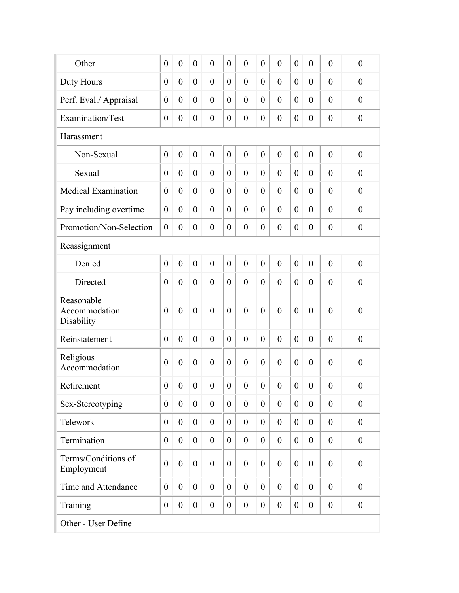| Other                                     | $\theta$         | $\overline{0}$   | $\theta$         | $\overline{0}$   | $\boldsymbol{0}$ | $\boldsymbol{0}$ | $\overline{0}$   | $\overline{0}$   | $\overline{0}$   | $\overline{0}$   | $\overline{0}$   | $\boldsymbol{0}$ |
|-------------------------------------------|------------------|------------------|------------------|------------------|------------------|------------------|------------------|------------------|------------------|------------------|------------------|------------------|
| Duty Hours                                | $\theta$         | $\theta$         | $\boldsymbol{0}$ | $\overline{0}$   | $\boldsymbol{0}$ | $\boldsymbol{0}$ | $\overline{0}$   | $\overline{0}$   | $\theta$         | $\theta$         | $\overline{0}$   | $\boldsymbol{0}$ |
| Perf. Eval./ Appraisal                    | $\theta$         | $\theta$         | $\boldsymbol{0}$ | $\overline{0}$   | $\boldsymbol{0}$ | $\mathbf{0}$     | $\theta$         | $\overline{0}$   | $\theta$         | $\theta$         | $\overline{0}$   | $\boldsymbol{0}$ |
| Examination/Test                          | $\boldsymbol{0}$ | $\boldsymbol{0}$ | $\boldsymbol{0}$ | $\boldsymbol{0}$ | $\boldsymbol{0}$ | $\boldsymbol{0}$ | $\boldsymbol{0}$ | $\boldsymbol{0}$ | $\boldsymbol{0}$ | $\theta$         | $\boldsymbol{0}$ | $\boldsymbol{0}$ |
| Harassment                                |                  |                  |                  |                  |                  |                  |                  |                  |                  |                  |                  |                  |
| Non-Sexual                                | $\overline{0}$   | $\overline{0}$   | $\mathbf{0}$     | $\overline{0}$   | $\overline{0}$   | $\overline{0}$   | $\overline{0}$   | $\overline{0}$   | $\overline{0}$   | $\mathbf{0}$     | $\overline{0}$   | $\boldsymbol{0}$ |
| Sexual                                    | $\theta$         | $\overline{0}$   | $\theta$         | $\overline{0}$   | $\overline{0}$   | $\overline{0}$   | $\theta$         | $\mathbf{0}$     | $\overline{0}$   | $\overline{0}$   | $\overline{0}$   | $\overline{0}$   |
| <b>Medical Examination</b>                | $\theta$         | $\overline{0}$   | $\theta$         | $\overline{0}$   | $\overline{0}$   | $\overline{0}$   | $\theta$         | $\mathbf{0}$     | $\overline{0}$   | $\overline{0}$   | $\overline{0}$   | $\overline{0}$   |
| Pay including overtime                    | $\theta$         | $\theta$         | $\theta$         | $\overline{0}$   | $\overline{0}$   | $\overline{0}$   | $\theta$         | $\overline{0}$   | $\overline{0}$   | $\theta$         | $\theta$         | $\boldsymbol{0}$ |
| Promotion/Non-Selection                   | $\overline{0}$   | $\overline{0}$   | $\boldsymbol{0}$ | $\boldsymbol{0}$ | $\boldsymbol{0}$ | $\boldsymbol{0}$ | $\theta$         | $\overline{0}$   | $\overline{0}$   | $\theta$         | $\overline{0}$   | $\boldsymbol{0}$ |
| Reassignment                              |                  |                  |                  |                  |                  |                  |                  |                  |                  |                  |                  |                  |
| Denied                                    | $\overline{0}$   | $\overline{0}$   | $\mathbf{0}$     | $\overline{0}$   | $\overline{0}$   | $\mathbf{0}$     | $\overline{0}$   | $\overline{0}$   | $\overline{0}$   | $\mathbf{0}$     | $\overline{0}$   | $\boldsymbol{0}$ |
| Directed                                  | $\theta$         | $\overline{0}$   | $\theta$         | $\overline{0}$   | $\boldsymbol{0}$ | $\mathbf{0}$     | $\overline{0}$   | $\overline{0}$   | $\theta$         | $\theta$         | $\overline{0}$   | $\boldsymbol{0}$ |
| Reasonable<br>Accommodation<br>Disability | $\theta$         | $\overline{0}$   | $\boldsymbol{0}$ | $\boldsymbol{0}$ | $\boldsymbol{0}$ | $\boldsymbol{0}$ | $\boldsymbol{0}$ | $\overline{0}$   | $\overline{0}$   | $\overline{0}$   | $\overline{0}$   | $\boldsymbol{0}$ |
| Reinstatement                             | $\theta$         | $\overline{0}$   | $\boldsymbol{0}$ | $\overline{0}$   | $\boldsymbol{0}$ | $\overline{0}$   | $\theta$         | $\overline{0}$   | $\theta$         | $\overline{0}$   | $\overline{0}$   | $\boldsymbol{0}$ |
| Religious<br>Accommodation                | $\overline{0}$   | $\theta$         | $\boldsymbol{0}$ | $\overline{0}$   | $\overline{0}$   | $\overline{0}$   | $\mathbf{0}$     | $\overline{0}$   | $\overline{0}$   | $\theta$         | $\theta$         | $\boldsymbol{0}$ |
| Retirement                                | $\boldsymbol{0}$ | $\boldsymbol{0}$ | $\boldsymbol{0}$ | $\boldsymbol{0}$ | $\boldsymbol{0}$ | $\boldsymbol{0}$ | $\boldsymbol{0}$ | $\boldsymbol{0}$ | $\boldsymbol{0}$ | $\boldsymbol{0}$ | $\boldsymbol{0}$ | $\boldsymbol{0}$ |
| Sex-Stereotyping                          | $\overline{0}$   | $\overline{0}$   | $\boldsymbol{0}$ | $\boldsymbol{0}$ | $\boldsymbol{0}$ | $\boldsymbol{0}$ | $\boldsymbol{0}$ | $\boldsymbol{0}$ | $\overline{0}$   | $\overline{0}$   | $\mathbf{0}$     | $\boldsymbol{0}$ |
| Telework                                  | $\theta$         | $\overline{0}$   | $\boldsymbol{0}$ | $\boldsymbol{0}$ | $\boldsymbol{0}$ | $\boldsymbol{0}$ | $\boldsymbol{0}$ | $\boldsymbol{0}$ | $\overline{0}$   | $\overline{0}$   | $\theta$         | $\boldsymbol{0}$ |
| Termination                               | $\overline{0}$   | $\overline{0}$   | $\boldsymbol{0}$ | $\boldsymbol{0}$ | $\boldsymbol{0}$ | $\boldsymbol{0}$ | $\boldsymbol{0}$ | $\theta$         | $\overline{0}$   | $\overline{0}$   | $\theta$         | $\boldsymbol{0}$ |
| Terms/Conditions of<br>Employment         | $\boldsymbol{0}$ | $\boldsymbol{0}$ | $\boldsymbol{0}$ | $\boldsymbol{0}$ | $\boldsymbol{0}$ | $\boldsymbol{0}$ | $\boldsymbol{0}$ | $\boldsymbol{0}$ | $\boldsymbol{0}$ | $\boldsymbol{0}$ | $\boldsymbol{0}$ | $\boldsymbol{0}$ |
| Time and Attendance                       | $\overline{0}$   | $\overline{0}$   | $\boldsymbol{0}$ | $\boldsymbol{0}$ | $\boldsymbol{0}$ | $\overline{0}$   | $\boldsymbol{0}$ | $\boldsymbol{0}$ | $\overline{0}$   | $\overline{0}$   | $\mathbf{0}$     | $\boldsymbol{0}$ |
| Training                                  | $\overline{0}$   | $\boldsymbol{0}$ | $\boldsymbol{0}$ | $\boldsymbol{0}$ | $\boldsymbol{0}$ | $\boldsymbol{0}$ | $\overline{0}$   | $\boldsymbol{0}$ | $\boldsymbol{0}$ | $\overline{0}$   | $\boldsymbol{0}$ | $\boldsymbol{0}$ |
| Other - User Define                       |                  |                  |                  |                  |                  |                  |                  |                  |                  |                  |                  |                  |